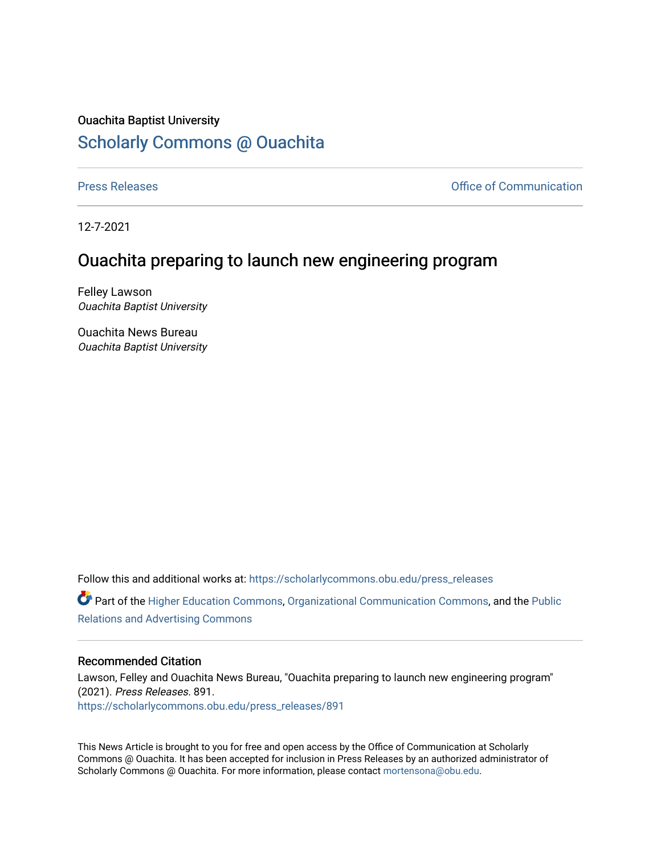## Ouachita Baptist University

## [Scholarly Commons @ Ouachita](https://scholarlycommons.obu.edu/)

[Press Releases](https://scholarlycommons.obu.edu/press_releases) **Press Releases Communication** 

12-7-2021

## Ouachita preparing to launch new engineering program

Felley Lawson Ouachita Baptist University

Ouachita News Bureau Ouachita Baptist University

Follow this and additional works at: [https://scholarlycommons.obu.edu/press\\_releases](https://scholarlycommons.obu.edu/press_releases?utm_source=scholarlycommons.obu.edu%2Fpress_releases%2F891&utm_medium=PDF&utm_campaign=PDFCoverPages)

Part of the [Higher Education Commons,](http://network.bepress.com/hgg/discipline/1245?utm_source=scholarlycommons.obu.edu%2Fpress_releases%2F891&utm_medium=PDF&utm_campaign=PDFCoverPages) [Organizational Communication Commons,](http://network.bepress.com/hgg/discipline/335?utm_source=scholarlycommons.obu.edu%2Fpress_releases%2F891&utm_medium=PDF&utm_campaign=PDFCoverPages) and the [Public](http://network.bepress.com/hgg/discipline/336?utm_source=scholarlycommons.obu.edu%2Fpress_releases%2F891&utm_medium=PDF&utm_campaign=PDFCoverPages) [Relations and Advertising Commons](http://network.bepress.com/hgg/discipline/336?utm_source=scholarlycommons.obu.edu%2Fpress_releases%2F891&utm_medium=PDF&utm_campaign=PDFCoverPages) 

## Recommended Citation

Lawson, Felley and Ouachita News Bureau, "Ouachita preparing to launch new engineering program" (2021). Press Releases. 891. [https://scholarlycommons.obu.edu/press\\_releases/891](https://scholarlycommons.obu.edu/press_releases/891?utm_source=scholarlycommons.obu.edu%2Fpress_releases%2F891&utm_medium=PDF&utm_campaign=PDFCoverPages)

This News Article is brought to you for free and open access by the Office of Communication at Scholarly Commons @ Ouachita. It has been accepted for inclusion in Press Releases by an authorized administrator of Scholarly Commons @ Ouachita. For more information, please contact [mortensona@obu.edu](mailto:mortensona@obu.edu).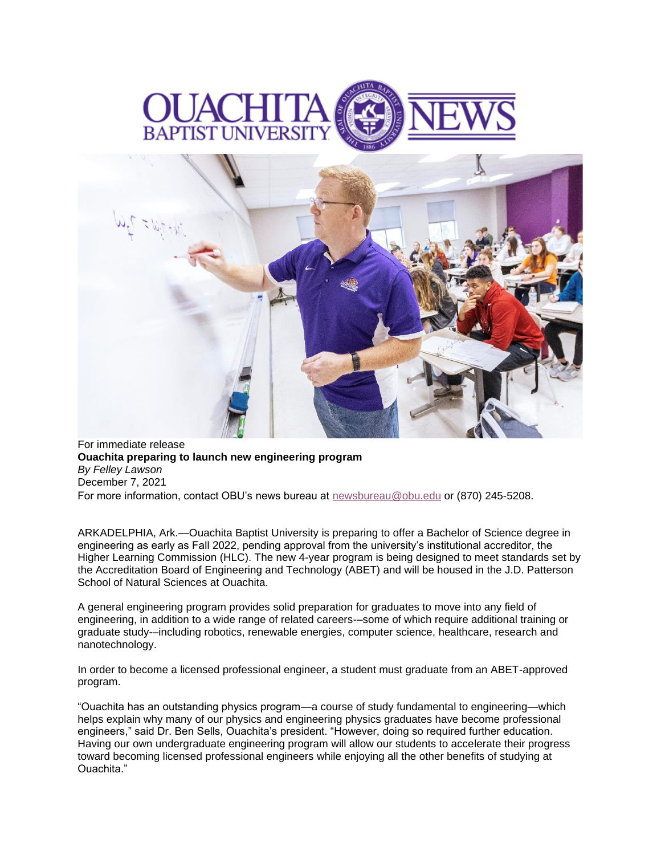



For immediate release **Ouachita preparing to launch new engineering program** *By Felley Lawson* December 7, 2021 For more information, contact OBU's news bureau at [newsbureau@obu.edu](mailto:newsbureau@obu.edu) or (870) 245-5208.

ARKADELPHIA, Ark.—Ouachita Baptist University is preparing to offer a Bachelor of Science degree in engineering as early as Fall 2022, pending approval from the university's institutional accreditor, the Higher Learning Commission (HLC). The new 4-year program is being designed to meet standards set by the Accreditation Board of Engineering and Technology (ABET) and will be housed in the J.D. Patterson School of Natural Sciences at Ouachita.

A general engineering program provides solid preparation for graduates to move into any field of engineering, in addition to a wide range of related careers-–some of which require additional training or graduate study-–including robotics, renewable energies, computer science, healthcare, research and nanotechnology.

In order to become a licensed professional engineer, a student must graduate from an ABET-approved program.

"Ouachita has an outstanding physics program—a course of study fundamental to engineering—which helps explain why many of our physics and engineering physics graduates have become professional engineers," said Dr. Ben Sells, Ouachita's president. "However, doing so required further education. Having our own undergraduate engineering program will allow our students to accelerate their progress toward becoming licensed professional engineers while enjoying all the other benefits of studying at Ouachita."